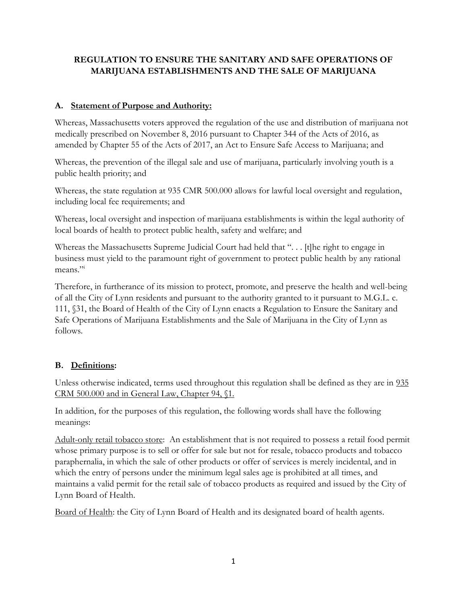# **REGULATION TO ENSURE THE SANITARY AND SAFE OPERATIONS OF MARIJUANA ESTABLISHMENTS AND THE SALE OF MARIJUANA**

### **A. Statement of Purpose and Authority:**

Whereas, Massachusetts voters approved the regulation of the use and distribution of marijuana not medically prescribed on November 8, 2016 pursuant to Chapter 344 of the Acts of 2016, as amended by Chapter 55 of the Acts of 2017, an Act to Ensure Safe Access to Marijuana; and

Whereas, the prevention of the illegal sale and use of marijuana, particularly involving youth is a public health priority; and

Whereas, the state regulation at 935 CMR 500.000 allows for lawful local oversight and regulation, including local fee requirements; and

Whereas, local oversight and inspection of marijuana establishments is within the legal authority of local boards of health to protect public health, safety and welfare; and

Whereas the Massachusetts Supreme Judicial Court had held that ". . . [t]he right to engage in business must yield to the paramount right of government to protect public health by any rational means."

Therefore, in furtherance of its mission to protect, promote, and preserve the health and well-being of all the City of Lynn residents and pursuant to the authority granted to it pursuant to M.G.L. c. 111, §31, the Board of Health of the City of Lynn enacts a Regulation to Ensure the Sanitary and Safe Operations of Marijuana Establishments and the Sale of Marijuana in the City of Lynn as follows.

### **B. Definitions:**

Unless otherwise indicated, terms used throughout this regulation shall be defined as they are in 935 CRM 500.000 and in General Law, Chapter 94, §1.

In addition, for the purposes of this regulation, the following words shall have the following meanings:

Adult-only retail tobacco store: An establishment that is not required to possess a retail food permit whose primary purpose is to sell or offer for sale but not for resale, tobacco products and tobacco paraphernalia, in which the sale of other products or offer of services is merely incidental, and in which the entry of persons under the minimum legal sales age is prohibited at all times, and maintains a valid permit for the retail sale of tobacco products as required and issued by the City of Lynn Board of Health.

Board of Health: the City of Lynn Board of Health and its designated board of health agents.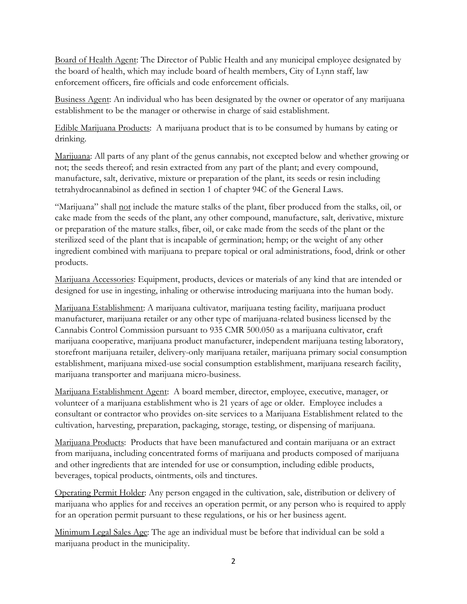Board of Health Agent: The Director of Public Health and any municipal employee designated by the board of health, which may include board of health members, City of Lynn staff, law enforcement officers, fire officials and code enforcement officials.

Business Agent: An individual who has been designated by the owner or operator of any marijuana establishment to be the manager or otherwise in charge of said establishment.

Edible Marijuana Products: A marijuana product that is to be consumed by humans by eating or drinking.

Marijuana: All parts of any plant of the genus cannabis, not excepted below and whether growing or not; the seeds thereof; and resin extracted from any part of the plant; and every compound, manufacture, salt, derivative, mixture or preparation of the plant, its seeds or resin including tetrahydrocannabinol as defined in section 1 of chapter 94C of the General Laws.

"Marijuana" shall not include the mature stalks of the plant, fiber produced from the stalks, oil, or cake made from the seeds of the plant, any other compound, manufacture, salt, derivative, mixture or preparation of the mature stalks, fiber, oil, or cake made from the seeds of the plant or the sterilized seed of the plant that is incapable of germination; hemp; or the weight of any other ingredient combined with marijuana to prepare topical or oral administrations, food, drink or other products.

Marijuana Accessories: Equipment, products, devices or materials of any kind that are intended or designed for use in ingesting, inhaling or otherwise introducing marijuana into the human body.

Marijuana Establishment: A marijuana cultivator, marijuana testing facility, marijuana product manufacturer, marijuana retailer or any other type of marijuana-related business licensed by the Cannabis Control Commission pursuant to 935 CMR 500.050 as a marijuana cultivator, craft marijuana cooperative, marijuana product manufacturer, independent marijuana testing laboratory, storefront marijuana retailer, delivery-only marijuana retailer, marijuana primary social consumption establishment, marijuana mixed-use social consumption establishment, marijuana research facility, marijuana transporter and marijuana micro-business.

Marijuana Establishment Agent: A board member, director, employee, executive, manager, or volunteer of a marijuana establishment who is 21 years of age or older. Employee includes a consultant or contractor who provides on-site services to a Marijuana Establishment related to the cultivation, harvesting, preparation, packaging, storage, testing, or dispensing of marijuana.

Marijuana Products: Products that have been manufactured and contain marijuana or an extract from marijuana, including concentrated forms of marijuana and products composed of marijuana and other ingredients that are intended for use or consumption, including edible products, beverages, topical products, ointments, oils and tinctures.

Operating Permit Holder: Any person engaged in the cultivation, sale, distribution or delivery of marijuana who applies for and receives an operation permit, or any person who is required to apply for an operation permit pursuant to these regulations, or his or her business agent.

Minimum Legal Sales Age: The age an individual must be before that individual can be sold a marijuana product in the municipality.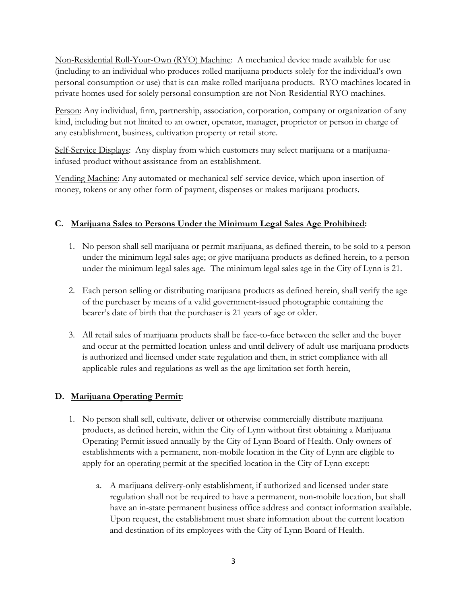Non-Residential Roll-Your-Own (RYO) Machine: A mechanical device made available for use (including to an individual who produces rolled marijuana products solely for the individual's own personal consumption or use) that is can make rolled marijuana products. RYO machines located in private homes used for solely personal consumption are not Non-Residential RYO machines.

Person: Any individual, firm, partnership, association, corporation, company or organization of any kind, including but not limited to an owner, operator, manager, proprietor or person in charge of any establishment, business, cultivation property or retail store.

Self-Service Displays: Any display from which customers may select marijuana or a marijuanainfused product without assistance from an establishment.

Vending Machine: Any automated or mechanical self-service device, which upon insertion of money, tokens or any other form of payment, dispenses or makes marijuana products.

## **C. Marijuana Sales to Persons Under the Minimum Legal Sales Age Prohibited:**

- 1. No person shall sell marijuana or permit marijuana, as defined therein, to be sold to a person under the minimum legal sales age; or give marijuana products as defined herein, to a person under the minimum legal sales age. The minimum legal sales age in the City of Lynn is 21.
- 2. Each person selling or distributing marijuana products as defined herein, shall verify the age of the purchaser by means of a valid government-issued photographic containing the bearer's date of birth that the purchaser is 21 years of age or older.
- 3. All retail sales of marijuana products shall be face-to-face between the seller and the buyer and occur at the permitted location unless and until delivery of adult-use marijuana products is authorized and licensed under state regulation and then, in strict compliance with all applicable rules and regulations as well as the age limitation set forth herein,

# **D. Marijuana Operating Permit:**

- 1. No person shall sell, cultivate, deliver or otherwise commercially distribute marijuana products, as defined herein, within the City of Lynn without first obtaining a Marijuana Operating Permit issued annually by the City of Lynn Board of Health. Only owners of establishments with a permanent, non-mobile location in the City of Lynn are eligible to apply for an operating permit at the specified location in the City of Lynn except:
	- a. A marijuana delivery-only establishment, if authorized and licensed under state regulation shall not be required to have a permanent, non-mobile location, but shall have an in-state permanent business office address and contact information available. Upon request, the establishment must share information about the current location and destination of its employees with the City of Lynn Board of Health.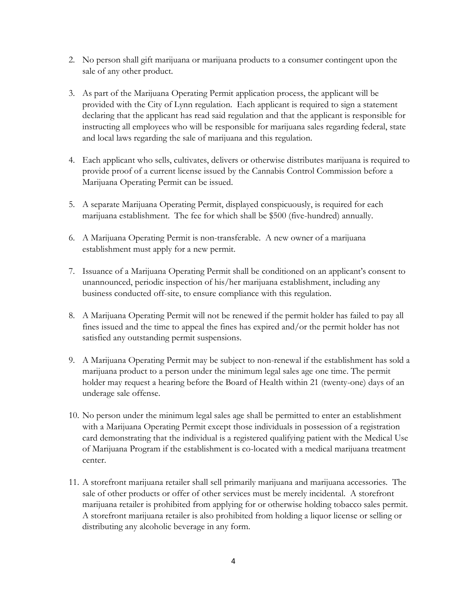- 2. No person shall gift marijuana or marijuana products to a consumer contingent upon the sale of any other product.
- 3. As part of the Marijuana Operating Permit application process, the applicant will be provided with the City of Lynn regulation. Each applicant is required to sign a statement declaring that the applicant has read said regulation and that the applicant is responsible for instructing all employees who will be responsible for marijuana sales regarding federal, state and local laws regarding the sale of marijuana and this regulation.
- 4. Each applicant who sells, cultivates, delivers or otherwise distributes marijuana is required to provide proof of a current license issued by the Cannabis Control Commission before a Marijuana Operating Permit can be issued.
- 5. A separate Marijuana Operating Permit, displayed conspicuously, is required for each marijuana establishment. The fee for which shall be \$500 (five-hundred) annually.
- 6. A Marijuana Operating Permit is non-transferable. A new owner of a marijuana establishment must apply for a new permit.
- 7. Issuance of a Marijuana Operating Permit shall be conditioned on an applicant's consent to unannounced, periodic inspection of his/her marijuana establishment, including any business conducted off-site, to ensure compliance with this regulation.
- 8. A Marijuana Operating Permit will not be renewed if the permit holder has failed to pay all fines issued and the time to appeal the fines has expired and/or the permit holder has not satisfied any outstanding permit suspensions.
- 9. A Marijuana Operating Permit may be subject to non-renewal if the establishment has sold a marijuana product to a person under the minimum legal sales age one time. The permit holder may request a hearing before the Board of Health within 21 (twenty-one) days of an underage sale offense.
- 10. No person under the minimum legal sales age shall be permitted to enter an establishment with a Marijuana Operating Permit except those individuals in possession of a registration card demonstrating that the individual is a registered qualifying patient with the Medical Use of Marijuana Program if the establishment is co-located with a medical marijuana treatment center.
- 11. A storefront marijuana retailer shall sell primarily marijuana and marijuana accessories. The sale of other products or offer of other services must be merely incidental. A storefront marijuana retailer is prohibited from applying for or otherwise holding tobacco sales permit. A storefront marijuana retailer is also prohibited from holding a liquor license or selling or distributing any alcoholic beverage in any form.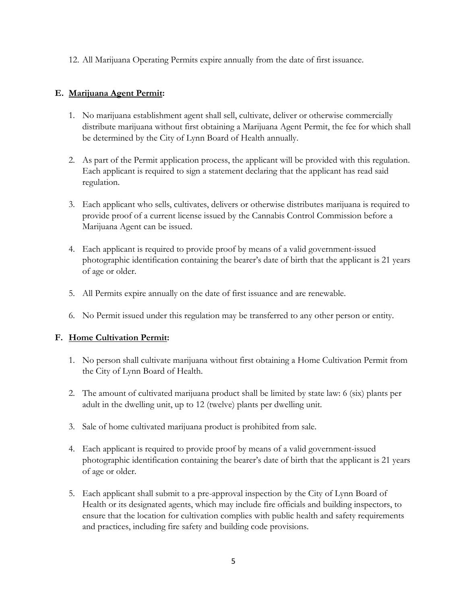12. All Marijuana Operating Permits expire annually from the date of first issuance.

### **E. Marijuana Agent Permit:**

- 1. No marijuana establishment agent shall sell, cultivate, deliver or otherwise commercially distribute marijuana without first obtaining a Marijuana Agent Permit, the fee for which shall be determined by the City of Lynn Board of Health annually.
- 2. As part of the Permit application process, the applicant will be provided with this regulation. Each applicant is required to sign a statement declaring that the applicant has read said regulation.
- 3. Each applicant who sells, cultivates, delivers or otherwise distributes marijuana is required to provide proof of a current license issued by the Cannabis Control Commission before a Marijuana Agent can be issued.
- 4. Each applicant is required to provide proof by means of a valid government-issued photographic identification containing the bearer's date of birth that the applicant is 21 years of age or older.
- 5. All Permits expire annually on the date of first issuance and are renewable.
- 6. No Permit issued under this regulation may be transferred to any other person or entity.

### **F. Home Cultivation Permit:**

- 1. No person shall cultivate marijuana without first obtaining a Home Cultivation Permit from the City of Lynn Board of Health.
- 2. The amount of cultivated marijuana product shall be limited by state law: 6 (six) plants per adult in the dwelling unit, up to 12 (twelve) plants per dwelling unit.
- 3. Sale of home cultivated marijuana product is prohibited from sale.
- 4. Each applicant is required to provide proof by means of a valid government-issued photographic identification containing the bearer's date of birth that the applicant is 21 years of age or older.
- 5. Each applicant shall submit to a pre-approval inspection by the City of Lynn Board of Health or its designated agents, which may include fire officials and building inspectors, to ensure that the location for cultivation complies with public health and safety requirements and practices, including fire safety and building code provisions.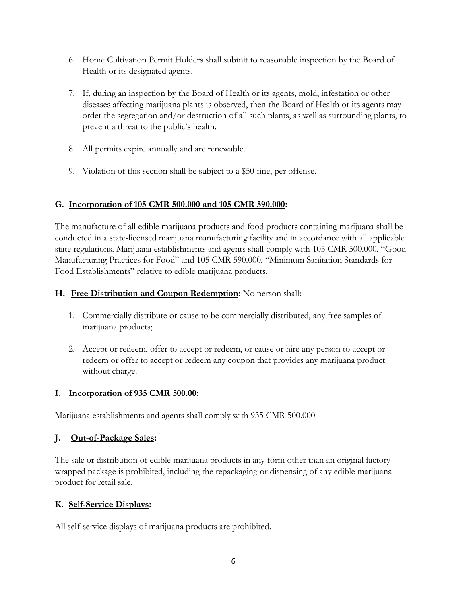- 6. Home Cultivation Permit Holders shall submit to reasonable inspection by the Board of Health or its designated agents.
- 7. If, during an inspection by the Board of Health or its agents, mold, infestation or other diseases affecting marijuana plants is observed, then the Board of Health or its agents may order the segregation and/or destruction of all such plants, as well as surrounding plants, to prevent a threat to the public's health.
- 8. All permits expire annually and are renewable.
- 9. Violation of this section shall be subject to a \$50 fine, per offense.

## **G. Incorporation of 105 CMR 500.000 and 105 CMR 590.000:**

The manufacture of all edible marijuana products and food products containing marijuana shall be conducted in a state-licensed marijuana manufacturing facility and in accordance with all applicable state regulations. Marijuana establishments and agents shall comply with 105 CMR 500.000, "Good Manufacturing Practices for Food" and 105 CMR 590.000, "Minimum Sanitation Standards for Food Establishments" relative to edible marijuana products.

## **H. Free Distribution and Coupon Redemption:** No person shall:

- 1. Commercially distribute or cause to be commercially distributed, any free samples of marijuana products;
- 2. Accept or redeem, offer to accept or redeem, or cause or hire any person to accept or redeem or offer to accept or redeem any coupon that provides any marijuana product without charge.

### **I. Incorporation of 935 CMR 500.00:**

Marijuana establishments and agents shall comply with 935 CMR 500.000.

# **J. Out-of-Package Sales:**

The sale or distribution of edible marijuana products in any form other than an original factorywrapped package is prohibited, including the repackaging or dispensing of any edible marijuana product for retail sale.

# **K. Self-Service Displays:**

All self-service displays of marijuana products are prohibited.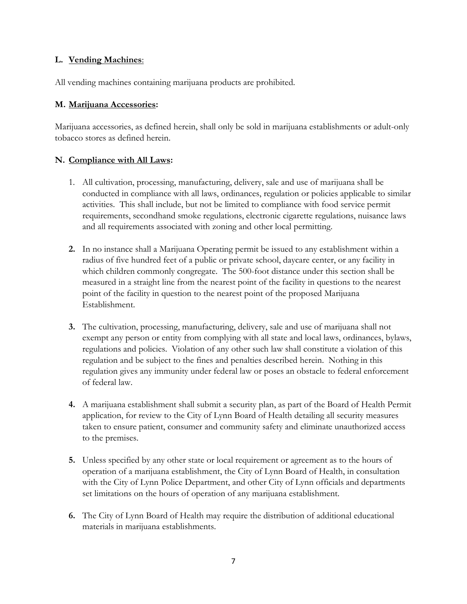#### **L. Vending Machines**:

All vending machines containing marijuana products are prohibited.

#### **M. Marijuana Accessories:**

Marijuana accessories, as defined herein, shall only be sold in marijuana establishments or adult-only tobacco stores as defined herein.

#### **N. Compliance with All Laws:**

- 1. All cultivation, processing, manufacturing, delivery, sale and use of marijuana shall be conducted in compliance with all laws, ordinances, regulation or policies applicable to similar activities. This shall include, but not be limited to compliance with food service permit requirements, secondhand smoke regulations, electronic cigarette regulations, nuisance laws and all requirements associated with zoning and other local permitting.
- **2.** In no instance shall a Marijuana Operating permit be issued to any establishment within a radius of five hundred feet of a public or private school, daycare center, or any facility in which children commonly congregate. The 500-foot distance under this section shall be measured in a straight line from the nearest point of the facility in questions to the nearest point of the facility in question to the nearest point of the proposed Marijuana Establishment.
- **3.** The cultivation, processing, manufacturing, delivery, sale and use of marijuana shall not exempt any person or entity from complying with all state and local laws, ordinances, bylaws, regulations and policies. Violation of any other such law shall constitute a violation of this regulation and be subject to the fines and penalties described herein. Nothing in this regulation gives any immunity under federal law or poses an obstacle to federal enforcement of federal law.
- **4.** A marijuana establishment shall submit a security plan, as part of the Board of Health Permit application, for review to the City of Lynn Board of Health detailing all security measures taken to ensure patient, consumer and community safety and eliminate unauthorized access to the premises.
- **5.** Unless specified by any other state or local requirement or agreement as to the hours of operation of a marijuana establishment, the City of Lynn Board of Health, in consultation with the City of Lynn Police Department, and other City of Lynn officials and departments set limitations on the hours of operation of any marijuana establishment.
- **6.** The City of Lynn Board of Health may require the distribution of additional educational materials in marijuana establishments.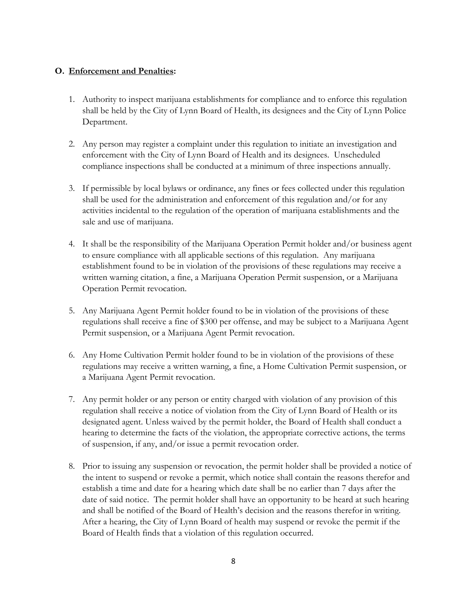#### **O. Enforcement and Penalties:**

- 1. Authority to inspect marijuana establishments for compliance and to enforce this regulation shall be held by the City of Lynn Board of Health, its designees and the City of Lynn Police Department.
- 2. Any person may register a complaint under this regulation to initiate an investigation and enforcement with the City of Lynn Board of Health and its designees. Unscheduled compliance inspections shall be conducted at a minimum of three inspections annually.
- 3. If permissible by local bylaws or ordinance, any fines or fees collected under this regulation shall be used for the administration and enforcement of this regulation and/or for any activities incidental to the regulation of the operation of marijuana establishments and the sale and use of marijuana.
- 4. It shall be the responsibility of the Marijuana Operation Permit holder and/or business agent to ensure compliance with all applicable sections of this regulation. Any marijuana establishment found to be in violation of the provisions of these regulations may receive a written warning citation, a fine, a Marijuana Operation Permit suspension, or a Marijuana Operation Permit revocation.
- 5. Any Marijuana Agent Permit holder found to be in violation of the provisions of these regulations shall receive a fine of \$300 per offense, and may be subject to a Marijuana Agent Permit suspension, or a Marijuana Agent Permit revocation.
- 6. Any Home Cultivation Permit holder found to be in violation of the provisions of these regulations may receive a written warning, a fine, a Home Cultivation Permit suspension, or a Marijuana Agent Permit revocation.
- 7. Any permit holder or any person or entity charged with violation of any provision of this regulation shall receive a notice of violation from the City of Lynn Board of Health or its designated agent. Unless waived by the permit holder, the Board of Health shall conduct a hearing to determine the facts of the violation, the appropriate corrective actions, the terms of suspension, if any, and/or issue a permit revocation order.
- 8. Prior to issuing any suspension or revocation, the permit holder shall be provided a notice of the intent to suspend or revoke a permit, which notice shall contain the reasons therefor and establish a time and date for a hearing which date shall be no earlier than 7 days after the date of said notice. The permit holder shall have an opportunity to be heard at such hearing and shall be notified of the Board of Health's decision and the reasons therefor in writing. After a hearing, the City of Lynn Board of health may suspend or revoke the permit if the Board of Health finds that a violation of this regulation occurred.